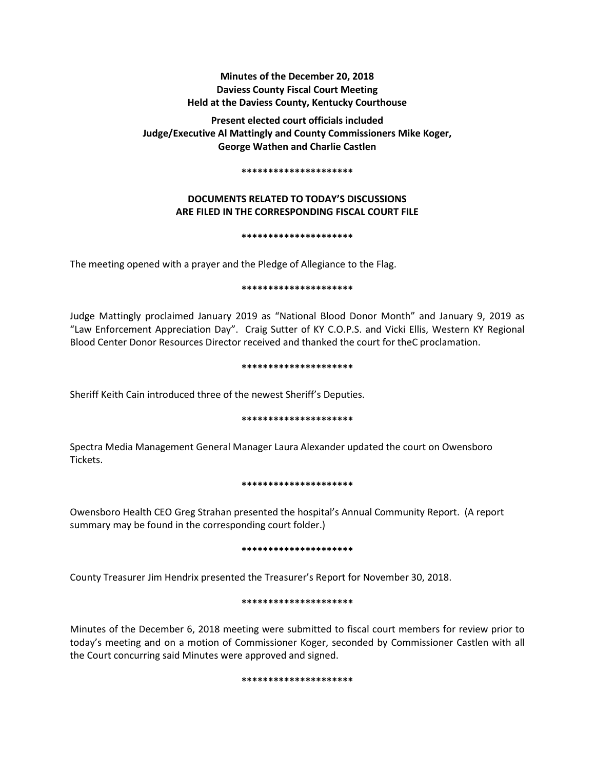# **Minutes of the December 20, 2018 Daviess County Fiscal Court Meeting Held at the Daviess County, Kentucky Courthouse**

**Present elected court officials included Judge/Executive Al Mattingly and County Commissioners Mike Koger, George Wathen and Charlie Castlen** 

#### **\*\*\*\*\*\*\*\*\*\*\*\*\*\*\*\*\*\*\*\*\***

# **DOCUMENTS RELATED TO TODAY'S DISCUSSIONS ARE FILED IN THE CORRESPONDING FISCAL COURT FILE**

## **\*\*\*\*\*\*\*\*\*\*\*\*\*\*\*\*\*\*\*\*\***

The meeting opened with a prayer and the Pledge of Allegiance to the Flag.

## **\*\*\*\*\*\*\*\*\*\*\*\*\*\*\*\*\*\*\*\*\***

Judge Mattingly proclaimed January 2019 as "National Blood Donor Month" and January 9, 2019 as "Law Enforcement Appreciation Day". Craig Sutter of KY C.O.P.S. and Vicki Ellis, Western KY Regional Blood Center Donor Resources Director received and thanked the court for theC proclamation.

## **\*\*\*\*\*\*\*\*\*\*\*\*\*\*\*\*\*\*\*\*\***

Sheriff Keith Cain introduced three of the newest Sheriff's Deputies.

# **\*\*\*\*\*\*\*\*\*\*\*\*\*\*\*\*\*\*\*\*\***

Spectra Media Management General Manager Laura Alexander updated the court on Owensboro Tickets.

## **\*\*\*\*\*\*\*\*\*\*\*\*\*\*\*\*\*\*\*\*\***

Owensboro Health CEO Greg Strahan presented the hospital's Annual Community Report. (A report summary may be found in the corresponding court folder.)

# **\*\*\*\*\*\*\*\*\*\*\*\*\*\*\*\*\*\*\*\*\***

County Treasurer Jim Hendrix presented the Treasurer's Report for November 30, 2018.

# **\*\*\*\*\*\*\*\*\*\*\*\*\*\*\*\*\*\*\*\*\***

Minutes of the December 6, 2018 meeting were submitted to fiscal court members for review prior to today's meeting and on a motion of Commissioner Koger, seconded by Commissioner Castlen with all the Court concurring said Minutes were approved and signed.

## **\*\*\*\*\*\*\*\*\*\*\*\*\*\*\*\*\*\*\*\*\***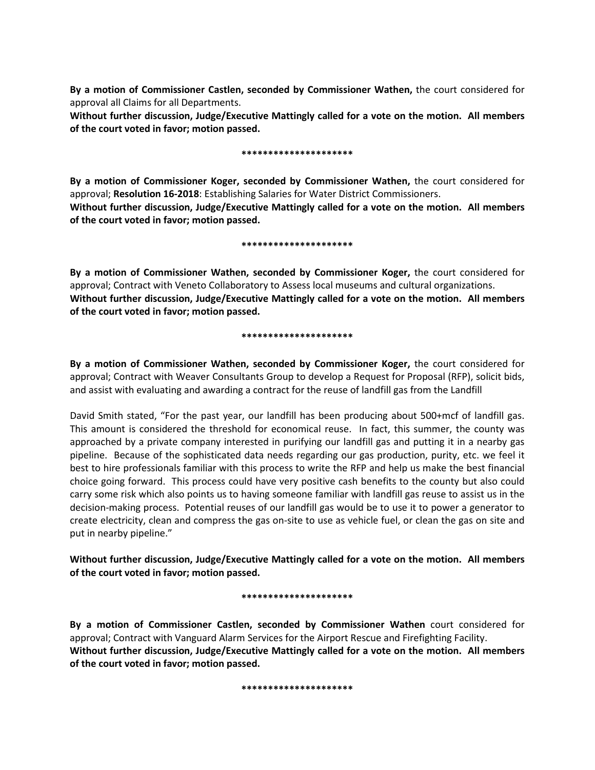**By a motion of Commissioner Castlen, seconded by Commissioner Wathen,** the court considered for approval all Claims for all Departments.

**Without further discussion, Judge/Executive Mattingly called for a vote on the motion. All members of the court voted in favor; motion passed.** 

## **\*\*\*\*\*\*\*\*\*\*\*\*\*\*\*\*\*\*\*\*\***

**By a motion of Commissioner Koger, seconded by Commissioner Wathen,** the court considered for approval; **Resolution 16-2018**: Establishing Salaries for Water District Commissioners. **Without further discussion, Judge/Executive Mattingly called for a vote on the motion. All members of the court voted in favor; motion passed.** 

## **\*\*\*\*\*\*\*\*\*\*\*\*\*\*\*\*\*\*\*\*\***

**By a motion of Commissioner Wathen, seconded by Commissioner Koger,** the court considered for approval; Contract with Veneto Collaboratory to Assess local museums and cultural organizations. **Without further discussion, Judge/Executive Mattingly called for a vote on the motion. All members of the court voted in favor; motion passed.** 

## **\*\*\*\*\*\*\*\*\*\*\*\*\*\*\*\*\*\*\*\*\***

**By a motion of Commissioner Wathen, seconded by Commissioner Koger,** the court considered for approval; Contract with Weaver Consultants Group to develop a Request for Proposal (RFP), solicit bids, and assist with evaluating and awarding a contract for the reuse of landfill gas from the Landfill

David Smith stated, "For the past year, our landfill has been producing about 500+mcf of landfill gas. This amount is considered the threshold for economical reuse. In fact, this summer, the county was approached by a private company interested in purifying our landfill gas and putting it in a nearby gas pipeline. Because of the sophisticated data needs regarding our gas production, purity, etc. we feel it best to hire professionals familiar with this process to write the RFP and help us make the best financial choice going forward. This process could have very positive cash benefits to the county but also could carry some risk which also points us to having someone familiar with landfill gas reuse to assist us in the decision-making process. Potential reuses of our landfill gas would be to use it to power a generator to create electricity, clean and compress the gas on-site to use as vehicle fuel, or clean the gas on site and put in nearby pipeline."

**Without further discussion, Judge/Executive Mattingly called for a vote on the motion. All members of the court voted in favor; motion passed.** 

## **\*\*\*\*\*\*\*\*\*\*\*\*\*\*\*\*\*\*\*\*\***

**By a motion of Commissioner Castlen, seconded by Commissioner Wathen** court considered for approval; Contract with Vanguard Alarm Services for the Airport Rescue and Firefighting Facility. **Without further discussion, Judge/Executive Mattingly called for a vote on the motion. All members of the court voted in favor; motion passed.** 

## **\*\*\*\*\*\*\*\*\*\*\*\*\*\*\*\*\*\*\*\*\***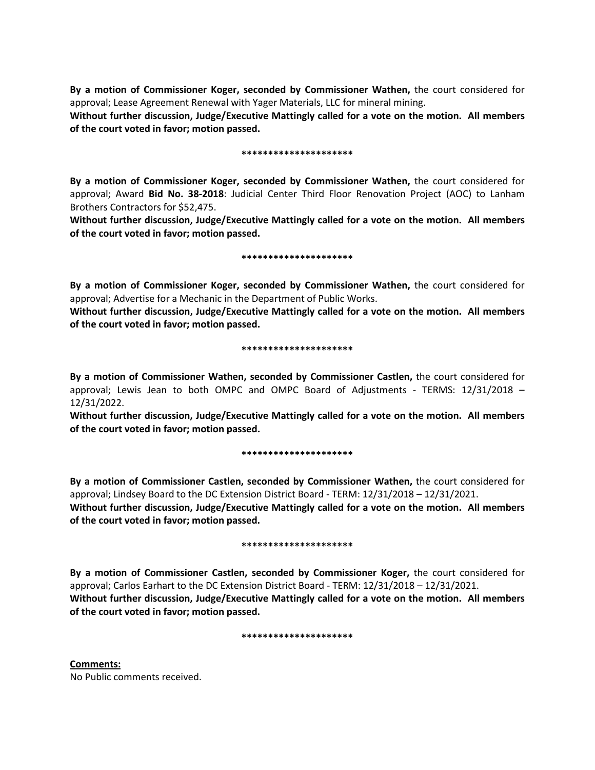**By a motion of Commissioner Koger, seconded by Commissioner Wathen,** the court considered for approval; Lease Agreement Renewal with Yager Materials, LLC for mineral mining.

**Without further discussion, Judge/Executive Mattingly called for a vote on the motion. All members of the court voted in favor; motion passed.** 

## **\*\*\*\*\*\*\*\*\*\*\*\*\*\*\*\*\*\*\*\*\***

**By a motion of Commissioner Koger, seconded by Commissioner Wathen,** the court considered for approval; Award **Bid No. 38-2018**: Judicial Center Third Floor Renovation Project (AOC) to Lanham Brothers Contractors for \$52,475.

**Without further discussion, Judge/Executive Mattingly called for a vote on the motion. All members of the court voted in favor; motion passed.** 

## **\*\*\*\*\*\*\*\*\*\*\*\*\*\*\*\*\*\*\*\*\***

**By a motion of Commissioner Koger, seconded by Commissioner Wathen,** the court considered for approval; Advertise for a Mechanic in the Department of Public Works.

**Without further discussion, Judge/Executive Mattingly called for a vote on the motion. All members of the court voted in favor; motion passed.** 

## **\*\*\*\*\*\*\*\*\*\*\*\*\*\*\*\*\*\*\*\*\***

**By a motion of Commissioner Wathen, seconded by Commissioner Castlen,** the court considered for approval; Lewis Jean to both OMPC and OMPC Board of Adjustments - TERMS: 12/31/2018 – 12/31/2022.

**Without further discussion, Judge/Executive Mattingly called for a vote on the motion. All members of the court voted in favor; motion passed.** 

# **\*\*\*\*\*\*\*\*\*\*\*\*\*\*\*\*\*\*\*\*\***

**By a motion of Commissioner Castlen, seconded by Commissioner Wathen,** the court considered for approval; Lindsey Board to the DC Extension District Board - TERM: 12/31/2018 – 12/31/2021. **Without further discussion, Judge/Executive Mattingly called for a vote on the motion. All members of the court voted in favor; motion passed.** 

## **\*\*\*\*\*\*\*\*\*\*\*\*\*\*\*\*\*\*\*\*\***

**By a motion of Commissioner Castlen, seconded by Commissioner Koger,** the court considered for approval; Carlos Earhart to the DC Extension District Board - TERM: 12/31/2018 – 12/31/2021. **Without further discussion, Judge/Executive Mattingly called for a vote on the motion. All members of the court voted in favor; motion passed.** 

## **\*\*\*\*\*\*\*\*\*\*\*\*\*\*\*\*\*\*\*\*\***

**Comments:** No Public comments received.